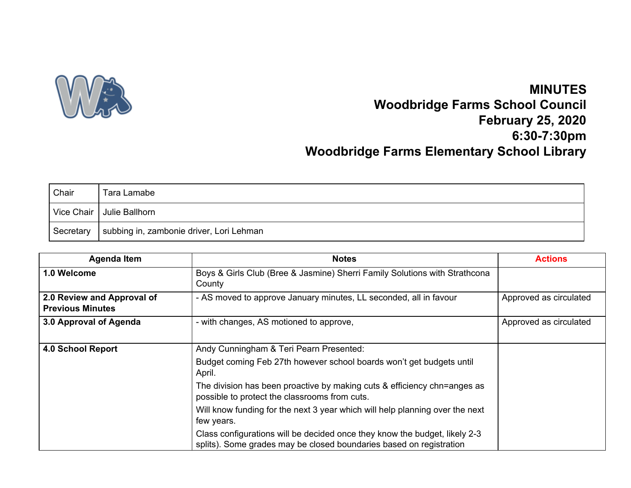

## **MINUTES Woodbridge Farms School Council February 25, 2020 6:30-7:30pm Woodbridge Farms Elementary School Library**

| Chair     | Tara Lamabe                              |
|-----------|------------------------------------------|
|           | Vice Chair   Julie Ballhorn              |
| Secretary | subbing in, zambonie driver, Lori Lehman |

| <b>Agenda Item</b>                                    | <b>Notes</b>                                                                                                                                      | <b>Actions</b>         |
|-------------------------------------------------------|---------------------------------------------------------------------------------------------------------------------------------------------------|------------------------|
| 1.0 Welcome                                           | Boys & Girls Club (Bree & Jasmine) Sherri Family Solutions with Strathcona<br>County                                                              |                        |
| 2.0 Review and Approval of<br><b>Previous Minutes</b> | - AS moved to approve January minutes, LL seconded, all in favour                                                                                 | Approved as circulated |
| 3.0 Approval of Agenda                                | - with changes, AS motioned to approve,                                                                                                           | Approved as circulated |
| <b>4.0 School Report</b>                              | Andy Cunningham & Teri Pearn Presented:                                                                                                           |                        |
|                                                       | Budget coming Feb 27th however school boards won't get budgets until<br>April.                                                                    |                        |
|                                                       | The division has been proactive by making cuts & efficiency chn=anges as<br>possible to protect the classrooms from cuts.                         |                        |
|                                                       | Will know funding for the next 3 year which will help planning over the next<br>few years.                                                        |                        |
|                                                       | Class configurations will be decided once they know the budget, likely 2-3<br>splits). Some grades may be closed boundaries based on registration |                        |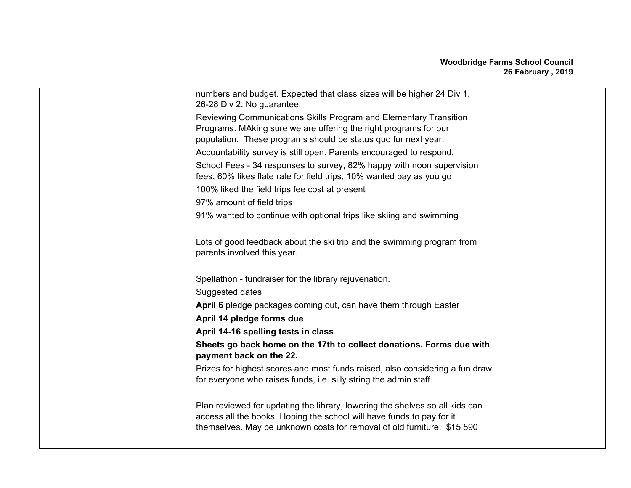## **Woodbridge Farms School Council 26 February , 2019**

| numbers and budget. Expected that class sizes will be higher 24 Div 1,<br>26-28 Div 2. No guarantee.                                                                                                                             |  |
|----------------------------------------------------------------------------------------------------------------------------------------------------------------------------------------------------------------------------------|--|
| Reviewing Communications Skills Program and Elementary Transition<br>Programs. MAking sure we are offering the right programs for our<br>population. These programs should be status quo for next year.                          |  |
|                                                                                                                                                                                                                                  |  |
| Accountability survey is still open. Parents encouraged to respond.                                                                                                                                                              |  |
| School Fees - 34 responses to survey, 82% happy with noon supervision<br>fees, 60% likes flate rate for field trips, 10% wanted pay as you go                                                                                    |  |
| 100% liked the field trips fee cost at present                                                                                                                                                                                   |  |
| 97% amount of field trips                                                                                                                                                                                                        |  |
| 91% wanted to continue with optional trips like skiing and swimming                                                                                                                                                              |  |
| Lots of good feedback about the ski trip and the swimming program from<br>parents involved this year.                                                                                                                            |  |
| Spellathon - fundraiser for the library rejuvenation.                                                                                                                                                                            |  |
| Suggested dates                                                                                                                                                                                                                  |  |
| April 6 pledge packages coming out, can have them through Easter                                                                                                                                                                 |  |
| April 14 pledge forms due                                                                                                                                                                                                        |  |
| April 14-16 spelling tests in class                                                                                                                                                                                              |  |
| Sheets go back home on the 17th to collect donations. Forms due with<br>payment back on the 22.                                                                                                                                  |  |
| Prizes for highest scores and most funds raised, also considering a fun draw<br>for everyone who raises funds, i.e. silly string the admin staff.                                                                                |  |
| Plan reviewed for updating the library, lowering the shelves so all kids can<br>access all the books. Hoping the school will have funds to pay for it<br>themselves. May be unknown costs for removal of old furniture. \$15 590 |  |
|                                                                                                                                                                                                                                  |  |
|                                                                                                                                                                                                                                  |  |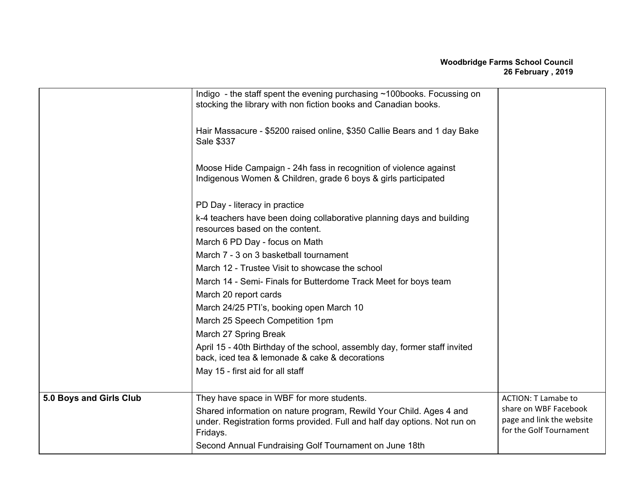|                         | Indigo - the staff spent the evening purchasing $\sim$ 100books. Focussing on<br>stocking the library with non fiction books and Canadian books.             |                                                                               |
|-------------------------|--------------------------------------------------------------------------------------------------------------------------------------------------------------|-------------------------------------------------------------------------------|
|                         | Hair Massacure - \$5200 raised online, \$350 Callie Bears and 1 day Bake<br>Sale \$337                                                                       |                                                                               |
|                         | Moose Hide Campaign - 24h fass in recognition of violence against<br>Indigenous Women & Children, grade 6 boys & girls participated                          |                                                                               |
|                         | PD Day - literacy in practice                                                                                                                                |                                                                               |
|                         | k-4 teachers have been doing collaborative planning days and building<br>resources based on the content.                                                     |                                                                               |
|                         | March 6 PD Day - focus on Math                                                                                                                               |                                                                               |
|                         | March 7 - 3 on 3 basketball tournament                                                                                                                       |                                                                               |
|                         | March 12 - Trustee Visit to showcase the school                                                                                                              |                                                                               |
|                         | March 14 - Semi- Finals for Butterdome Track Meet for boys team                                                                                              |                                                                               |
|                         | March 20 report cards                                                                                                                                        |                                                                               |
|                         | March 24/25 PTI's, booking open March 10                                                                                                                     |                                                                               |
|                         | March 25 Speech Competition 1pm                                                                                                                              |                                                                               |
|                         | March 27 Spring Break                                                                                                                                        |                                                                               |
|                         | April 15 - 40th Birthday of the school, assembly day, former staff invited<br>back, iced tea & lemonade & cake & decorations                                 |                                                                               |
|                         | May 15 - first aid for all staff                                                                                                                             |                                                                               |
|                         |                                                                                                                                                              |                                                                               |
| 5.0 Boys and Girls Club | They have space in WBF for more students.                                                                                                                    | <b>ACTION: T Lamabe to</b>                                                    |
|                         | Shared information on nature program, Rewild Your Child. Ages 4 and<br>under. Registration forms provided. Full and half day options. Not run on<br>Fridays. | share on WBF Facebook<br>page and link the website<br>for the Golf Tournament |
|                         | Second Annual Fundraising Golf Tournament on June 18th                                                                                                       |                                                                               |
|                         |                                                                                                                                                              |                                                                               |